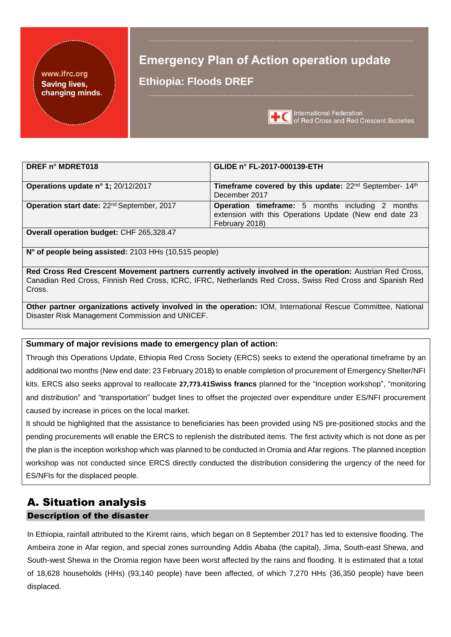#### www.ifrc.org **Saving lives,** changing minds.

# **Emergency Plan of Action operation update Ethiopia: Floods DREF**



**International Federation** of Red Cross and Red Crescent Societies

| DREF n° MDRET018                                       | GLIDE n° FL-2017-000139-ETH                                                                                                         |
|--------------------------------------------------------|-------------------------------------------------------------------------------------------------------------------------------------|
| Operations update n° 1; 20/12/2017                     | Timeframe covered by this update: 22 <sup>nd</sup> September- 14 <sup>th</sup><br>December 2017                                     |
| Operation start date: 22 <sup>nd</sup> September, 2017 | <b>Operation timeframe:</b> 5 months including 2 months<br>extension with this Operations Update (New end date 23<br>February 2018) |
| Overall operation budget: CHF 265,328.47               |                                                                                                                                     |

**N° of people being assisted:** 2103 HHs (10,515 people)

**Red Cross Red Crescent Movement partners currently actively involved in the operation:** Austrian Red Cross, Canadian Red Cross, Finnish Red Cross, ICRC, IFRC, Netherlands Red Cross, Swiss Red Cross and Spanish Red Cross.

**Other partner organizations actively involved in the operation:** IOM, International Rescue Committee, National Disaster Risk Management Commission and UNICEF.

## **Summary of major revisions made to emergency plan of action:**

Through this Operations Update, Ethiopia Red Cross Society (ERCS) seeks to extend the operational timeframe by an additional two months (New end date: 23 February 2018) to enable completion of procurement of Emergency Shelter/NFI kits. ERCS also seeks approval to reallocate **27,773.41Swiss francs** planned for the "Inception workshop", "monitoring and distribution" and "transportation" budget lines to offset the projected over expenditure under ES/NFI procurement caused by increase in prices on the local market.

It should be highlighted that the assistance to beneficiaries has been provided using NS pre-positioned stocks and the pending procurements will enable the ERCS to replenish the distributed items. The first activity which is not done as per the plan is the inception workshop which was planned to be conducted in Oromia and Afar regions. The planned inception workshop was not conducted since ERCS directly conducted the distribution considering the urgency of the need for ES/NFIs for the displaced people.

# A. Situation analysis Description of the disaster

In Ethiopia, rainfall attributed to the Kiremt rains, which began on 8 September 2017 has led to extensive flooding. The Ambeira zone in Afar region, and special zones surrounding Addis Ababa (the capital), Jima, South-east Shewa, and South-west Shewa in the Oromia region have been worst affected by the rains and flooding. It is estimated that a total of 18,628 households (HHs) (93,140 people) have been affected, of which 7,270 HHs (36,350 people) have been displaced.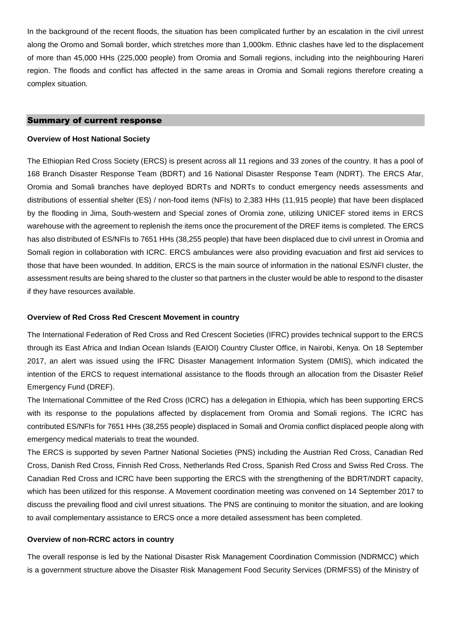In the background of the recent floods, the situation has been complicated further by an escalation in the civil unrest along the Oromo and Somali border, which stretches more than 1,000km. Ethnic clashes have led to the displacement of more than 45,000 HHs (225,000 people) from Oromia and Somali regions, including into the neighbouring Hareri region. The floods and conflict has affected in the same areas in Oromia and Somali regions therefore creating a complex situation.

#### Summary of current response

#### **Overview of Host National Society**

The Ethiopian Red Cross Society (ERCS) is present across all 11 regions and 33 zones of the country. It has a pool of 168 Branch Disaster Response Team (BDRT) and 16 National Disaster Response Team (NDRT). The ERCS Afar, Oromia and Somali branches have deployed BDRTs and NDRTs to conduct emergency needs assessments and distributions of essential shelter (ES) / non-food items (NFIs) to 2,383 HHs (11,915 people) that have been displaced by the flooding in Jima, South-western and Special zones of Oromia zone, utilizing UNICEF stored items in ERCS warehouse with the agreement to replenish the items once the procurement of the DREF items is completed. The ERCS has also distributed of ES/NFIs to 7651 HHs (38,255 people) that have been displaced due to civil unrest in Oromia and Somali region in collaboration with ICRC. ERCS ambulances were also providing evacuation and first aid services to those that have been wounded. In addition, ERCS is the main source of information in the national ES/NFI cluster, the assessment results are being shared to the cluster so that partners in the cluster would be able to respond to the disaster if they have resources available.

#### **Overview of Red Cross Red Crescent Movement in country**

The International Federation of Red Cross and Red Crescent Societies (IFRC) provides technical support to the ERCS through its East Africa and Indian Ocean Islands (EAIOI) Country Cluster Office, in Nairobi, Kenya. On 18 September 2017, an alert was issued using the IFRC Disaster Management Information System (DMIS), which indicated the intention of the ERCS to request international assistance to the floods through an allocation from the Disaster Relief Emergency Fund (DREF).

The International Committee of the Red Cross (ICRC) has a delegation in Ethiopia, which has been supporting ERCS with its response to the populations affected by displacement from Oromia and Somali regions. The ICRC has contributed ES/NFIs for 7651 HHs (38,255 people) displaced in Somali and Oromia conflict displaced people along with emergency medical materials to treat the wounded.

The ERCS is supported by seven Partner National Societies (PNS) including the Austrian Red Cross, Canadian Red Cross, Danish Red Cross, Finnish Red Cross, Netherlands Red Cross, Spanish Red Cross and Swiss Red Cross. The Canadian Red Cross and ICRC have been supporting the ERCS with the strengthening of the BDRT/NDRT capacity, which has been utilized for this response. A Movement coordination meeting was convened on 14 September 2017 to discuss the prevailing flood and civil unrest situations. The PNS are continuing to monitor the situation, and are looking to avail complementary assistance to ERCS once a more detailed assessment has been completed.

#### **Overview of non-RCRC actors in country**

The overall response is led by the National Disaster Risk Management Coordination Commission (NDRMCC) which is a government structure above the Disaster Risk Management Food Security Services (DRMFSS) of the Ministry of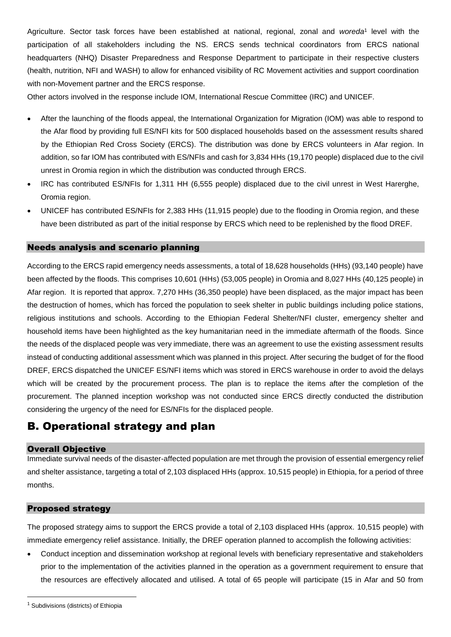Agriculture. Sector task forces have been established at national, regional, zonal and *woreda*<sup>1</sup> level with the participation of all stakeholders including the NS. ERCS sends technical coordinators from ERCS national headquarters (NHQ) Disaster Preparedness and Response Department to participate in their respective clusters (health, nutrition, NFI and WASH) to allow for enhanced visibility of RC Movement activities and support coordination with non-Movement partner and the ERCS response.

Other actors involved in the response include IOM, International Rescue Committee (IRC) and UNICEF*.* 

- After the launching of the floods appeal, the International Organization for Migration (IOM) was able to respond to the Afar flood by providing full ES/NFI kits for 500 displaced households based on the assessment results shared by the Ethiopian Red Cross Society (ERCS). The distribution was done by ERCS volunteers in Afar region. In addition, so far IOM has contributed with ES/NFIs and cash for 3,834 HHs (19,170 people) displaced due to the civil unrest in Oromia region in which the distribution was conducted through ERCS.
- IRC has contributed ES/NFIs for 1,311 HH (6,555 people) displaced due to the civil unrest in West Harerghe, Oromia region.
- UNICEF has contributed ES/NFIs for 2,383 HHs (11,915 people) due to the flooding in Oromia region, and these have been distributed as part of the initial response by ERCS which need to be replenished by the flood DREF.

## Needs analysis and scenario planning

According to the ERCS rapid emergency needs assessments, a total of 18,628 households (HHs) (93,140 people) have been affected by the floods. This comprises 10,601 (HHs) (53,005 people) in Oromia and 8,027 HHs (40,125 people) in Afar region. It is reported that approx. 7,270 HHs (36,350 people) have been displaced, as the major impact has been the destruction of homes, which has forced the population to seek shelter in public buildings including police stations, religious institutions and schools. According to the Ethiopian Federal Shelter/NFI cluster, emergency shelter and household items have been highlighted as the key humanitarian need in the immediate aftermath of the floods. Since the needs of the displaced people was very immediate, there was an agreement to use the existing assessment results instead of conducting additional assessment which was planned in this project. After securing the budget of for the flood DREF, ERCS dispatched the UNICEF ES/NFI items which was stored in ERCS warehouse in order to avoid the delays which will be created by the procurement process. The plan is to replace the items after the completion of the procurement. The planned inception workshop was not conducted since ERCS directly conducted the distribution considering the urgency of the need for ES/NFIs for the displaced people.

# B. Operational strategy and plan

## Overall Objective

Immediate survival needs of the disaster-affected population are met through the provision of essential emergency relief and shelter assistance, targeting a total of 2,103 displaced HHs (approx. 10,515 people) in Ethiopia, for a period of three months.

## Proposed strategy

The proposed strategy aims to support the ERCS provide a total of 2,103 displaced HHs (approx. 10,515 people) with immediate emergency relief assistance. Initially, the DREF operation planned to accomplish the following activities:

• Conduct inception and dissemination workshop at regional levels with beneficiary representative and stakeholders prior to the implementation of the activities planned in the operation as a government requirement to ensure that the resources are effectively allocated and utilised. A total of 65 people will participate (15 in Afar and 50 from

1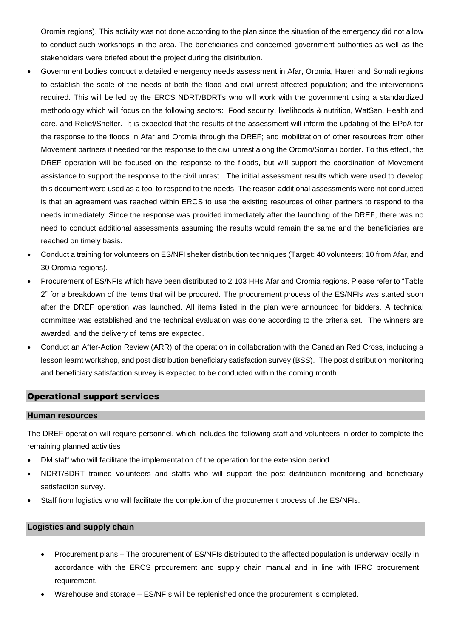Oromia regions). This activity was not done according to the plan since the situation of the emergency did not allow to conduct such workshops in the area. The beneficiaries and concerned government authorities as well as the stakeholders were briefed about the project during the distribution.

- Government bodies conduct a detailed emergency needs assessment in Afar, Oromia, Hareri and Somali regions to establish the scale of the needs of both the flood and civil unrest affected population; and the interventions required. This will be led by the ERCS NDRT/BDRTs who will work with the government using a standardized methodology which will focus on the following sectors: Food security, livelihoods & nutrition, WatSan, Health and care, and Relief/Shelter. It is expected that the results of the assessment will inform the updating of the EPoA for the response to the floods in Afar and Oromia through the DREF; and mobilization of other resources from other Movement partners if needed for the response to the civil unrest along the Oromo/Somali border. To this effect, the DREF operation will be focused on the response to the floods, but will support the coordination of Movement assistance to support the response to the civil unrest. The initial assessment results which were used to develop this document were used as a tool to respond to the needs. The reason additional assessments were not conducted is that an agreement was reached within ERCS to use the existing resources of other partners to respond to the needs immediately. Since the response was provided immediately after the launching of the DREF, there was no need to conduct additional assessments assuming the results would remain the same and the beneficiaries are reached on timely basis.
- Conduct a training for volunteers on ES/NFI shelter distribution techniques (Target: 40 volunteers; 10 from Afar, and 30 Oromia regions).
- Procurement of ES/NFIs which have been distributed to 2,103 HHs Afar and Oromia regions. Please refer to "Table 2" for a breakdown of the items that will be procured. The procurement process of the ES/NFIs was started soon after the DREF operation was launched. All items listed in the plan were announced for bidders. A technical committee was established and the technical evaluation was done according to the criteria set. The winners are awarded, and the delivery of items are expected.
- Conduct an After-Action Review (ARR) of the operation in collaboration with the Canadian Red Cross, including a lesson learnt workshop, and post distribution beneficiary satisfaction survey (BSS). The post distribution monitoring and beneficiary satisfaction survey is expected to be conducted within the coming month.

## Operational support services

#### **Human resources**

The DREF operation will require personnel, which includes the following staff and volunteers in order to complete the remaining planned activities

- DM staff who will facilitate the implementation of the operation for the extension period.
- NDRT/BDRT trained volunteers and staffs who will support the post distribution monitoring and beneficiary satisfaction survey.
- Staff from logistics who will facilitate the completion of the procurement process of the ES/NFIs.

## **Logistics and supply chain**

- Procurement plans The procurement of ES/NFIs distributed to the affected population is underway locally in accordance with the ERCS procurement and supply chain manual and in line with IFRC procurement requirement.
- Warehouse and storage ES/NFIs will be replenished once the procurement is completed.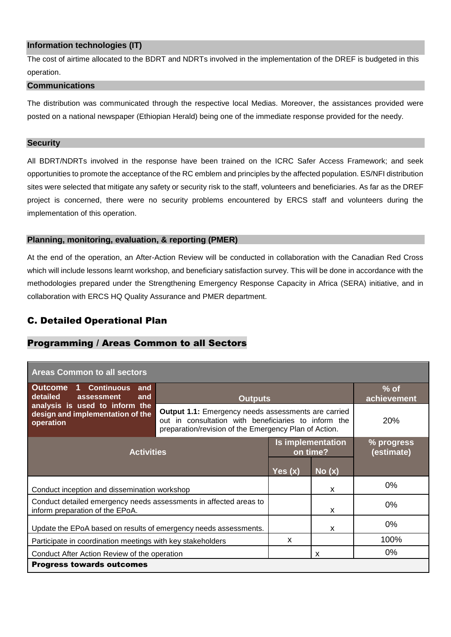## **Information technologies (IT)**

The cost of airtime allocated to the BDRT and NDRTs involved in the implementation of the DREF is budgeted in this operation.

#### **Communications**

The distribution was communicated through the respective local Medias. Moreover, the assistances provided were posted on a national newspaper (Ethiopian Herald) being one of the immediate response provided for the needy.

#### **Security**

All BDRT/NDRTs involved in the response have been trained on the ICRC Safer Access Framework; and seek opportunities to promote the acceptance of the RC emblem and principles by the affected population. ES/NFI distribution sites were selected that mitigate any safety or security risk to the staff, volunteers and beneficiaries. As far as the DREF project is concerned, there were no security problems encountered by ERCS staff and volunteers during the implementation of this operation.

## **Planning, monitoring, evaluation, & reporting (PMER)**

At the end of the operation, an After-Action Review will be conducted in collaboration with the Canadian Red Cross which will include lessons learnt workshop, and beneficiary satisfaction survey. This will be done in accordance with the methodologies prepared under the Strengthening Emergency Response Capacity in Africa (SERA) initiative, and in collaboration with ERCS HQ Quality Assurance and PMER department.

# C. Detailed Operational Plan

# Programming / Areas Common to all Sectors

| <b>Areas Common to all sectors</b>                                                                   |                                                                                                                                                                             |                               |                          |       |  |  |
|------------------------------------------------------------------------------------------------------|-----------------------------------------------------------------------------------------------------------------------------------------------------------------------------|-------------------------------|--------------------------|-------|--|--|
| 1 Continuous<br><b>Outcome</b><br>and<br>detailed<br>assessment<br>and                               | <b>Outputs</b>                                                                                                                                                              | $%$ of<br>achievement         |                          |       |  |  |
| analysis is used to inform the<br>design and implementation of the<br>operation                      | <b>Output 1.1:</b> Emergency needs assessments are carried<br>out in consultation with beneficiaries to inform the<br>preparation/revision of the Emergency Plan of Action. | <b>20%</b>                    |                          |       |  |  |
| <b>Activities</b>                                                                                    |                                                                                                                                                                             | Is implementation<br>on time? | % progress<br>(estimate) |       |  |  |
|                                                                                                      |                                                                                                                                                                             | Yes(x)                        | No(x)                    |       |  |  |
| Conduct inception and dissemination workshop                                                         |                                                                                                                                                                             | X                             | $0\%$                    |       |  |  |
| Conduct detailed emergency needs assessments in affected areas to<br>inform preparation of the EPoA. |                                                                                                                                                                             |                               | X                        | $0\%$ |  |  |
| Update the EPoA based on results of emergency needs assessments.                                     |                                                                                                                                                                             | x                             | $0\%$                    |       |  |  |
| Participate in coordination meetings with key stakeholders                                           |                                                                                                                                                                             |                               |                          | 100%  |  |  |
| Conduct After Action Review of the operation                                                         |                                                                                                                                                                             | X                             | $0\%$                    |       |  |  |
| <b>Progress towards outcomes</b>                                                                     |                                                                                                                                                                             |                               |                          |       |  |  |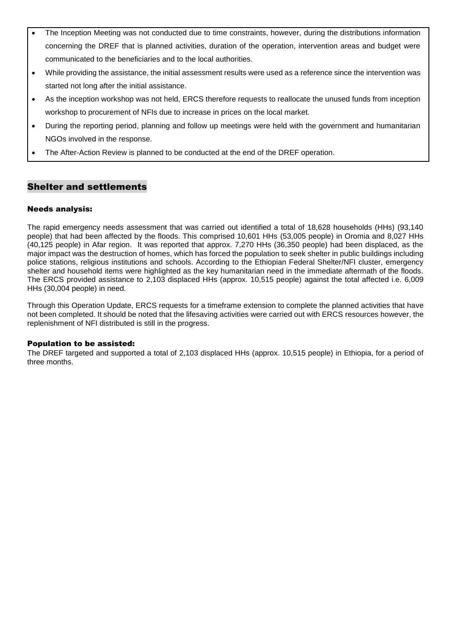- The Inception Meeting was not conducted due to time constraints, however, during the distributions information concerning the DREF that is planned activities, duration of the operation, intervention areas and budget were communicated to the beneficiaries and to the local authorities.
- While providing the assistance, the initial assessment results were used as a reference since the intervention was started not long after the initial assistance.
- As the inception workshop was not held, ERCS therefore requests to reallocate the unused funds from inception workshop to procurement of NFIs due to increase in prices on the local market.
- During the reporting period, planning and follow up meetings were held with the government and humanitarian NGOs involved in the response.
- The After-Action Review is planned to be conducted at the end of the DREF operation.

# Shelter and settlements

## Needs analysis:

The rapid emergency needs assessment that was carried out identified a total of 18,628 households (HHs) (93,140 people) that had been affected by the floods. This comprised 10,601 HHs (53,005 people) in Oromia and 8,027 HHs (40,125 people) in Afar region. It was reported that approx. 7,270 HHs (36,350 people) had been displaced, as the major impact was the destruction of homes, which has forced the population to seek shelter in public buildings including police stations, religious institutions and schools. According to the Ethiopian Federal Shelter/NFI cluster, emergency shelter and household items were highlighted as the key humanitarian need in the immediate aftermath of the floods. The ERCS provided assistance to 2,103 displaced HHs (approx. 10,515 people) against the total affected i.e. 6,009 HHs (30,004 people) in need.

Through this Operation Update, ERCS requests for a timeframe extension to complete the planned activities that have not been completed. It should be noted that the lifesaving activities were carried out with ERCS resources however, the replenishment of NFI distributed is still in the progress.

## Population to be assisted:

The DREF targeted and supported a total of 2,103 displaced HHs (approx. 10,515 people) in Ethiopia, for a period of three months.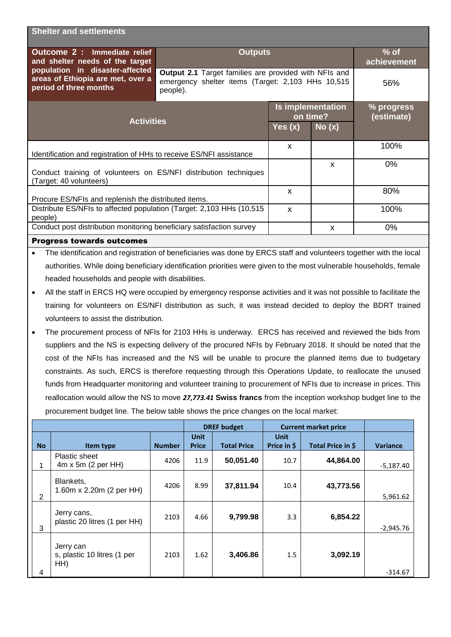|                                                                                             | <b>Shelter and settlements</b>                                                                                      |                                                                                                                        |           |                               |                          |  |  |
|---------------------------------------------------------------------------------------------|---------------------------------------------------------------------------------------------------------------------|------------------------------------------------------------------------------------------------------------------------|-----------|-------------------------------|--------------------------|--|--|
|                                                                                             | Outcome 2 : Immediate relief<br>and shelter needs of the target                                                     | <b>Outputs</b>                                                                                                         |           | $%$ of<br>achievement         |                          |  |  |
|                                                                                             | population in disaster-affected<br>areas of Ethiopia are met, over a<br>period of three months                      | Output 2.1 Target families are provided with NFIs and<br>emergency shelter items (Target: 2,103 HHs 10,515<br>people). | 56%       |                               |                          |  |  |
|                                                                                             |                                                                                                                     |                                                                                                                        |           | Is implementation<br>on time? | % progress<br>(estimate) |  |  |
| <b>Activities</b>                                                                           |                                                                                                                     |                                                                                                                        | Yes $(x)$ | No(x)                         |                          |  |  |
| Identification and registration of HHs to receive ES/NFI assistance                         |                                                                                                                     |                                                                                                                        |           |                               | 100%                     |  |  |
| Conduct training of volunteers on ES/NFI distribution techniques<br>(Target: 40 volunteers) |                                                                                                                     |                                                                                                                        |           | X                             | 0%                       |  |  |
|                                                                                             | Procure ES/NFIs and replenish the distributed items.                                                                |                                                                                                                        | X         |                               | 80%                      |  |  |
| Distribute ES/NFIs to affected population (Target: 2,103 HHs (10,515<br>people)             |                                                                                                                     |                                                                                                                        |           |                               | 100%                     |  |  |
|                                                                                             | Conduct post distribution monitoring beneficiary satisfaction survey<br>X                                           |                                                                                                                        |           |                               | 0%                       |  |  |
| <b>Progress towards outcomes</b>                                                            |                                                                                                                     |                                                                                                                        |           |                               |                          |  |  |
| $\bullet$                                                                                   | The identification and registration of beneficiaries was done by ERCS staff and volunteers together with the local  |                                                                                                                        |           |                               |                          |  |  |
|                                                                                             | authorities. While doing beneficiary identification priorities were given to the most vulnerable households, female |                                                                                                                        |           |                               |                          |  |  |
|                                                                                             | headed households and people with disabilities.                                                                     |                                                                                                                        |           |                               |                          |  |  |
| $\bullet$                                                                                   | All the staff in ERCS HQ were occupied by emergency response activities and it was not possible to facilitate the   |                                                                                                                        |           |                               |                          |  |  |
|                                                                                             | training for volunteers on ES/NFI distribution as such, it was instead decided to deploy the BDRT trained           |                                                                                                                        |           |                               |                          |  |  |
|                                                                                             | volunteers to assist the distribution.                                                                              |                                                                                                                        |           |                               |                          |  |  |
| $\bullet$                                                                                   | The procurement process of NFIs for 2103 HHs is underway. ERCS has received and reviewed the bids from              |                                                                                                                        |           |                               |                          |  |  |
|                                                                                             | suppliers and the NS is expecting delivery of the procured NFIs by February 2018. It should be noted that the       |                                                                                                                        |           |                               |                          |  |  |
|                                                                                             | cost of the NFIs has increased and the NS will be unable to procure the planned items due to budgetary              |                                                                                                                        |           |                               |                          |  |  |
|                                                                                             | constraints. As such, ERCS is therefore requesting through this Operations Update, to reallocate the unused         |                                                                                                                        |           |                               |                          |  |  |
|                                                                                             | funds from Headquarter monitoring and volunteer training to procurement of NFIs due to increase in prices. This     |                                                                                                                        |           |                               |                          |  |  |
|                                                                                             | reallocation would allow the NS to move 27,773.41 Swiss francs from the inception workshop budget line to the       |                                                                                                                        |           |                               |                          |  |  |

procurement budget line. The below table shows the price changes on the local market:

|                |                                                 |               | <b>DREF</b> budget   |                    | <b>Current market price</b> |                   |                 |
|----------------|-------------------------------------------------|---------------|----------------------|--------------------|-----------------------------|-------------------|-----------------|
| <b>No</b>      | Item type                                       | <b>Number</b> | Unit<br><b>Price</b> | <b>Total Price</b> | Unit<br>Price in \$         | Total Price in \$ | <b>Variance</b> |
| 1              | Plastic sheet<br>$4m \times 5m$ (2 per HH)      | 4206          | 11.9                 | 50,051.40          | 10.7                        | 44,864.00         | $-5,187.40$     |
| $\overline{2}$ | Blankets,<br>1.60m x 2.20m (2 per HH)           | 4206          | 8.99                 | 37,811.94          | 10.4                        | 43,773.56         | 5,961.62        |
| 3              | Jerry cans,<br>plastic 20 litres (1 per HH)     | 2103          | 4.66                 | 9,799.98           | 3.3                         | 6,854.22          | $-2,945.76$     |
| 4              | Jerry can<br>s, plastic 10 litres (1 per<br>HH) | 2103          | 1.62                 | 3,406.86           | 1.5                         | 3,092.19          | $-314.67$       |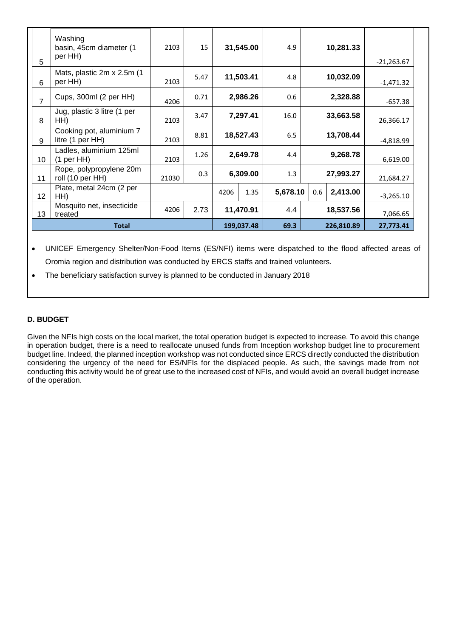| 5              | Washing<br>basin, 45cm diameter (1<br>per HH) | 2103  | 15   |            | 31,545.00 | 4.9      |            | 10,281.33 | $-21,263.67$ |
|----------------|-----------------------------------------------|-------|------|------------|-----------|----------|------------|-----------|--------------|
| 6              | Mats, plastic 2m x 2.5m (1)<br>per HH)        | 2103  | 5.47 |            | 11,503.41 | 4.8      |            | 10,032.09 | $-1,471.32$  |
| $\overline{7}$ | Cups, 300ml (2 per HH)                        | 4206  | 0.71 |            | 2,986.26  | 0.6      |            | 2,328.88  | $-657.38$    |
| 8              | Jug, plastic 3 litre (1 per<br>HH)            | 2103  | 3.47 |            | 7,297.41  | 16.0     |            | 33,663.58 | 26,366.17    |
| 9              | Cooking pot, aluminium 7<br>litre (1 per HH)  | 2103  | 8.81 |            | 18,527.43 | 6.5      |            | 13,708.44 | -4,818.99    |
| 10             | Ladles, aluminium 125ml<br>$(1$ per HH $)$    | 2103  | 1.26 |            | 2,649.78  | 4.4      |            | 9,268.78  | 6,619.00     |
| 11             | Rope, polypropylene 20m<br>roll (10 per HH)   | 21030 | 0.3  | 6,309.00   |           | 1.3      | 27,993.27  |           | 21,684.27    |
| 12             | Plate, metal 24cm (2 per<br>HH)               |       |      | 4206       | 1.35      | 5,678.10 | 0.6        | 2,413.00  | $-3,265.10$  |
| 13             | Mosquito net, insecticide<br>treated          | 4206  | 2.73 |            | 11,470.91 | 4.4      |            | 18,537.56 | 7,066.65     |
| <b>Total</b>   |                                               |       |      | 199,037.48 | 69.3      |          | 226,810.89 | 27,773.41 |              |

• UNICEF Emergency Shelter/Non-Food Items (ES/NFI) items were dispatched to the flood affected areas of Oromia region and distribution was conducted by ERCS staffs and trained volunteers.

• The beneficiary satisfaction survey is planned to be conducted in January 2018

## **D. BUDGET**

Given the NFIs high costs on the local market, the total operation budget is expected to increase. To avoid this change in operation budget, there is a need to reallocate unused funds from Inception workshop budget line to procurement budget line. Indeed, the planned inception workshop was not conducted since ERCS directly conducted the distribution considering the urgency of the need for ES/NFIs for the displaced people. As such, the savings made from not conducting this activity would be of great use to the increased cost of NFIs, and would avoid an overall budget increase of the operation.